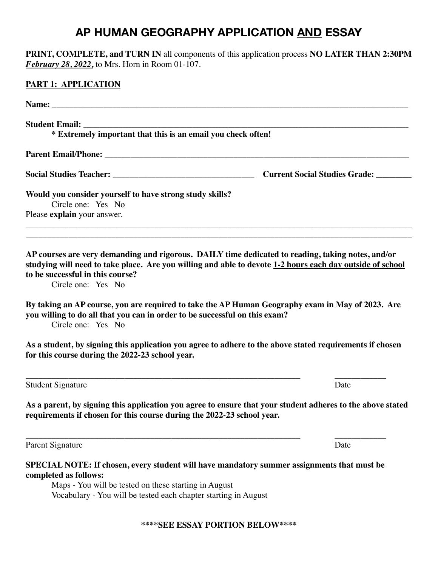# **AP HUMAN GEOGRAPHY APPLICATION AND ESSAY**

| <b>PRINT, COMPLETE, and TURN IN</b> all components of this application process NO LATER THAN 2:30PM<br><b>February 28, 2022, to Mrs. Horn in Room 01-107.</b>                                                                                                                                                                                                                                                                                                                                                                                                                                                                             |      |
|-------------------------------------------------------------------------------------------------------------------------------------------------------------------------------------------------------------------------------------------------------------------------------------------------------------------------------------------------------------------------------------------------------------------------------------------------------------------------------------------------------------------------------------------------------------------------------------------------------------------------------------------|------|
|                                                                                                                                                                                                                                                                                                                                                                                                                                                                                                                                                                                                                                           |      |
|                                                                                                                                                                                                                                                                                                                                                                                                                                                                                                                                                                                                                                           |      |
|                                                                                                                                                                                                                                                                                                                                                                                                                                                                                                                                                                                                                                           |      |
|                                                                                                                                                                                                                                                                                                                                                                                                                                                                                                                                                                                                                                           |      |
|                                                                                                                                                                                                                                                                                                                                                                                                                                                                                                                                                                                                                                           |      |
|                                                                                                                                                                                                                                                                                                                                                                                                                                                                                                                                                                                                                                           |      |
| <b>Current Social Studies Grade:</b><br>Would you consider yourself to have strong study skills?<br>Circle one: Yes No<br>Please explain your answer.<br>AP courses are very demanding and rigorous. DAILY time dedicated to reading, taking notes, and/or<br>studying will need to take place. Are you willing and able to devote 1-2 hours each day outside of school<br>to be successful in this course?<br>Circle one: Yes No<br>By taking an AP course, you are required to take the AP Human Geography exam in May of 2023. Are<br>you willing to do all that you can in order to be successful on this exam?<br>Circle one: Yes No |      |
|                                                                                                                                                                                                                                                                                                                                                                                                                                                                                                                                                                                                                                           |      |
|                                                                                                                                                                                                                                                                                                                                                                                                                                                                                                                                                                                                                                           |      |
|                                                                                                                                                                                                                                                                                                                                                                                                                                                                                                                                                                                                                                           |      |
| As a student, by signing this application you agree to adhere to the above stated requirements if chosen<br>for this course during the 2022-23 school year.                                                                                                                                                                                                                                                                                                                                                                                                                                                                               |      |
| <b>Student Signature</b>                                                                                                                                                                                                                                                                                                                                                                                                                                                                                                                                                                                                                  | Date |
| As a parent, by signing this application you agree to ensure that your student adheres to the above stated<br>requirements if chosen for this course during the 2022-23 school year.                                                                                                                                                                                                                                                                                                                                                                                                                                                      |      |
| Parent Signature                                                                                                                                                                                                                                                                                                                                                                                                                                                                                                                                                                                                                          | Date |
| SPECIAL NOTE: If chosen, every student will have mandatory summer assignments that must be<br>completed as follows:<br>Maps - You will be tested on these starting in August<br>Vocabulary - You will be tested each chapter starting in August                                                                                                                                                                                                                                                                                                                                                                                           |      |